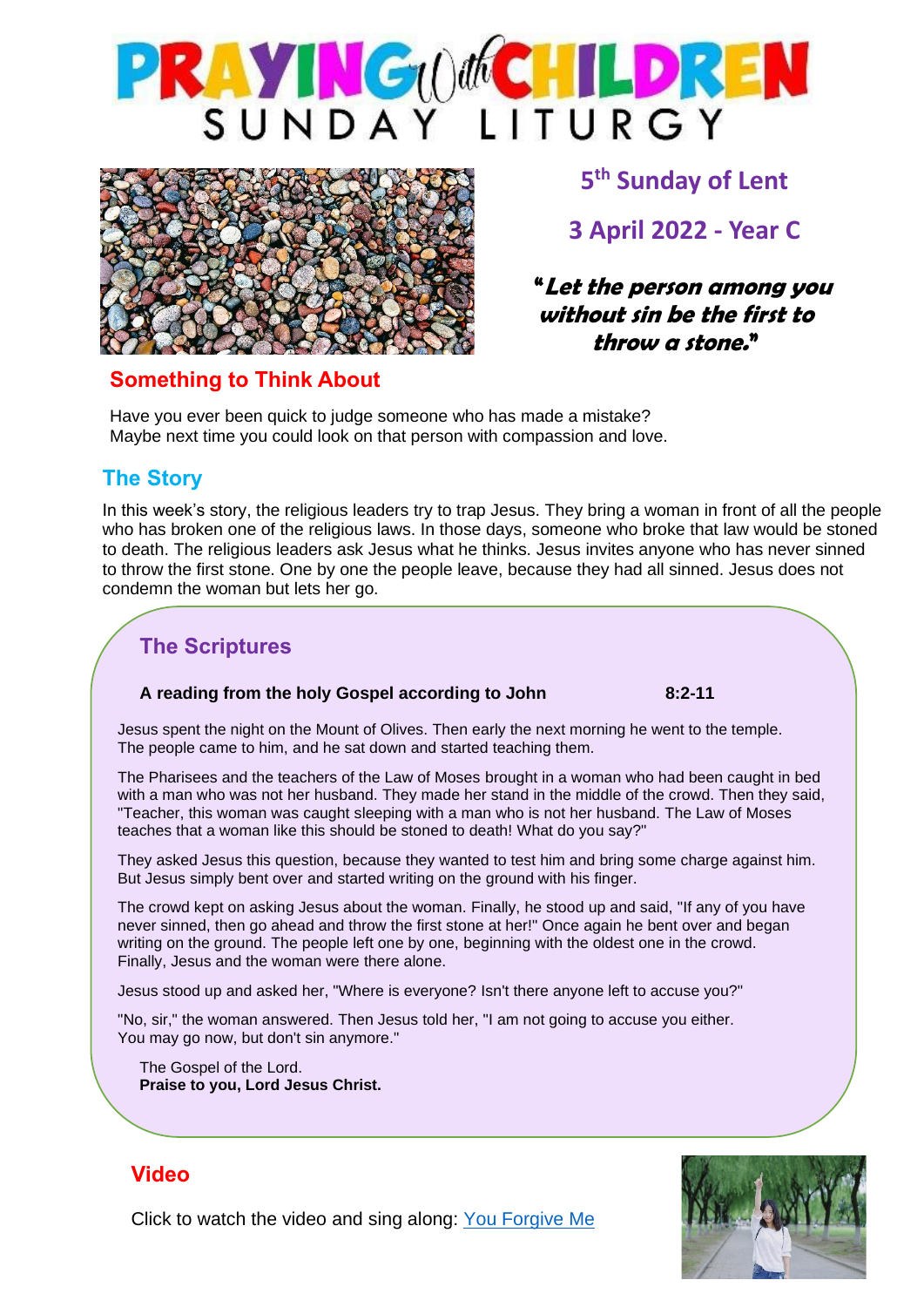



#### **Something to Think About**

# **5 th Sunday of Lent**

**3 April 2022 - Year C**

**"Let the person among you without sin be the first to throw a stone."**

Have you ever been quick to judge someone who has made a mistake? Maybe next time you could look on that person with compassion and love.

#### **The Story**

In this week's story, the religious leaders try to trap Jesus. They bring a woman in front of all the people who has broken one of the religious laws. In those days, someone who broke that law would be stoned to death. The religious leaders ask Jesus what he thinks. Jesus invites anyone who has never sinned to throw the first stone. One by one the people leave, because they had all sinned. Jesus does not condemn the woman but lets her go.

## **The Scriptures**

#### **A reading from the holy Gospel according to John 8:2-11**

Jesus spent the night on the Mount of Olives. Then early the next morning he went to the temple. The people came to him, and he sat down and started teaching them.

The Pharisees and the teachers of the Law of Moses brought in a woman who had been caught in bed with a man who was not her husband. They made her stand in the middle of the crowd. Then they said, "Teacher, this woman was caught sleeping with a man who is not her husband. The Law of Moses teaches that a woman like this should be stoned to death! What do you say?"

They asked Jesus this question, because they wanted to test him and bring some charge against him. But Jesus simply bent over and started writing on the ground with his finger.

The crowd kept on asking Jesus about the woman. Finally, he stood up and said, "If any of you have never sinned, then go ahead and throw the first stone at her!" Once again he bent over and began writing on the ground. The people left one by one, beginning with the oldest one in the crowd. Finally, Jesus and the woman were there alone.

Jesus stood up and asked her, "Where is everyone? Isn't there anyone left to accuse you?"

"No, sir," the woman answered. Then Jesus told her, "I am not going to accuse you either. You may go now, but don't sin anymore."

The Gospel of the Lord. **Praise to you, Lord Jesus Christ.**



#### **Video**

Click to watch the video and sing along: [You Forgive Me](https://www.youtube.com/watch?v=LO-2fm7IKcU&t=1s)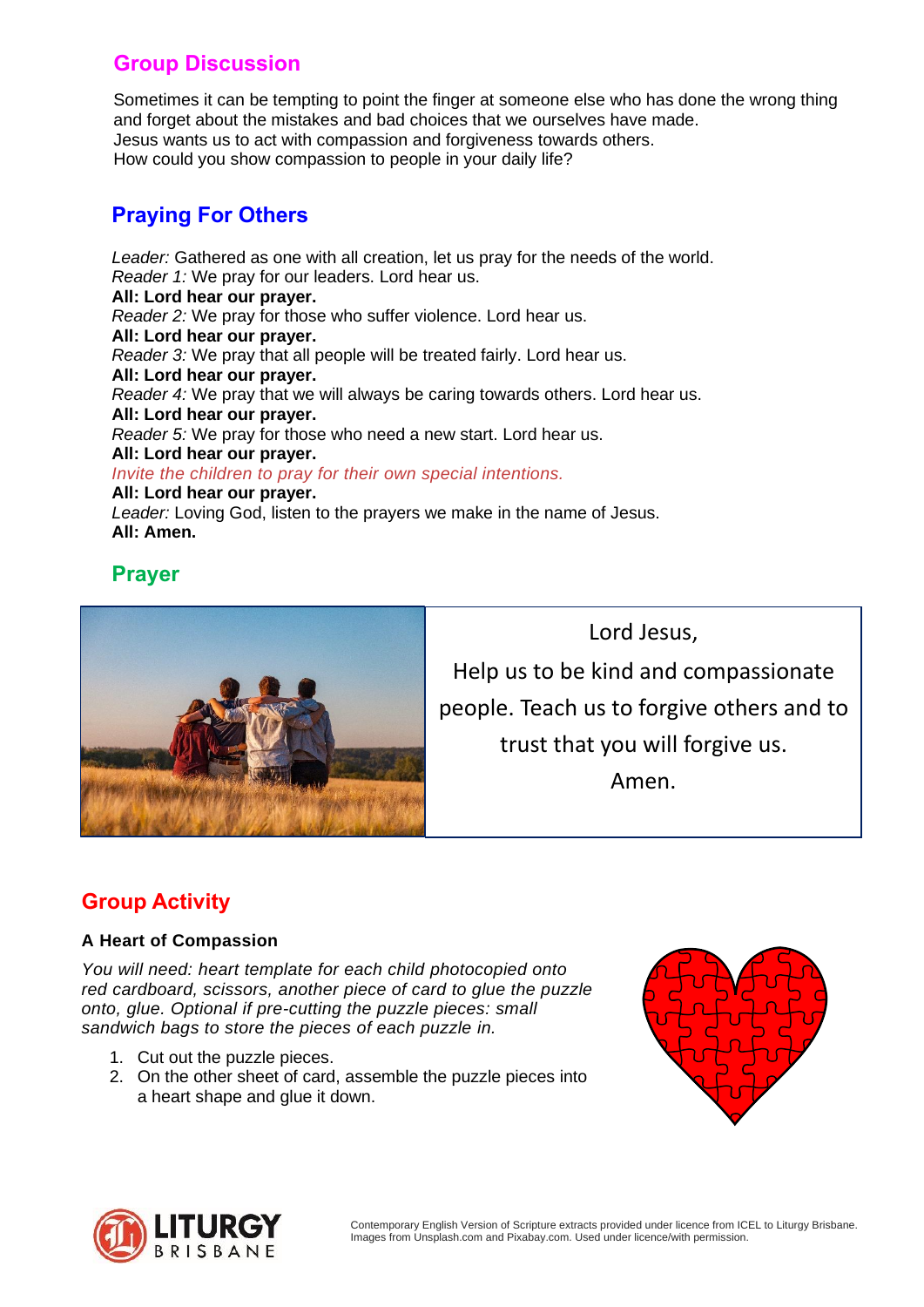## **Group Discussion**

Sometimes it can be tempting to point the finger at someone else who has done the wrong thing and forget about the mistakes and bad choices that we ourselves have made. Jesus wants us to act with compassion and forgiveness towards others. How could you show compassion to people in your daily life?

## **Praying For Others**

*Leader:* Gathered as one with all creation, let us pray for the needs of the world. *Reader 1:* We pray for our leaders. Lord hear us. **All: Lord hear our prayer.** *Reader 2:* We pray for those who suffer violence. Lord hear us. **All: Lord hear our prayer.** *Reader 3:* We pray that all people will be treated fairly. Lord hear us. **All: Lord hear our prayer.** *Reader 4:* We pray that we will always be caring towards others. Lord hear us. **All: Lord hear our prayer.** *Reader 5:* We pray for those who need a new start. Lord hear us. **All: Lord hear our prayer.** *Invite the children to pray for their own special intentions.* **All: Lord hear our prayer.** *Leader:* Loving God, listen to the prayers we make in the name of Jesus. **All: Amen.**

#### **Prayer**



Lord Jesus, Help us to be kind and compassionate people. Teach us to forgive others and to trust that you will forgive us. Amen.

#### **Group Activity**

#### **A Heart of Compassion**

*You will need: heart template for each child photocopied onto red cardboard, scissors, another piece of card to glue the puzzle onto, glue. Optional if pre-cutting the puzzle pieces: small sandwich bags to store the pieces of each puzzle in.*

- 1. Cut out the puzzle pieces.
- 2. On the other sheet of card, assemble the puzzle pieces into a heart shape and glue it down.



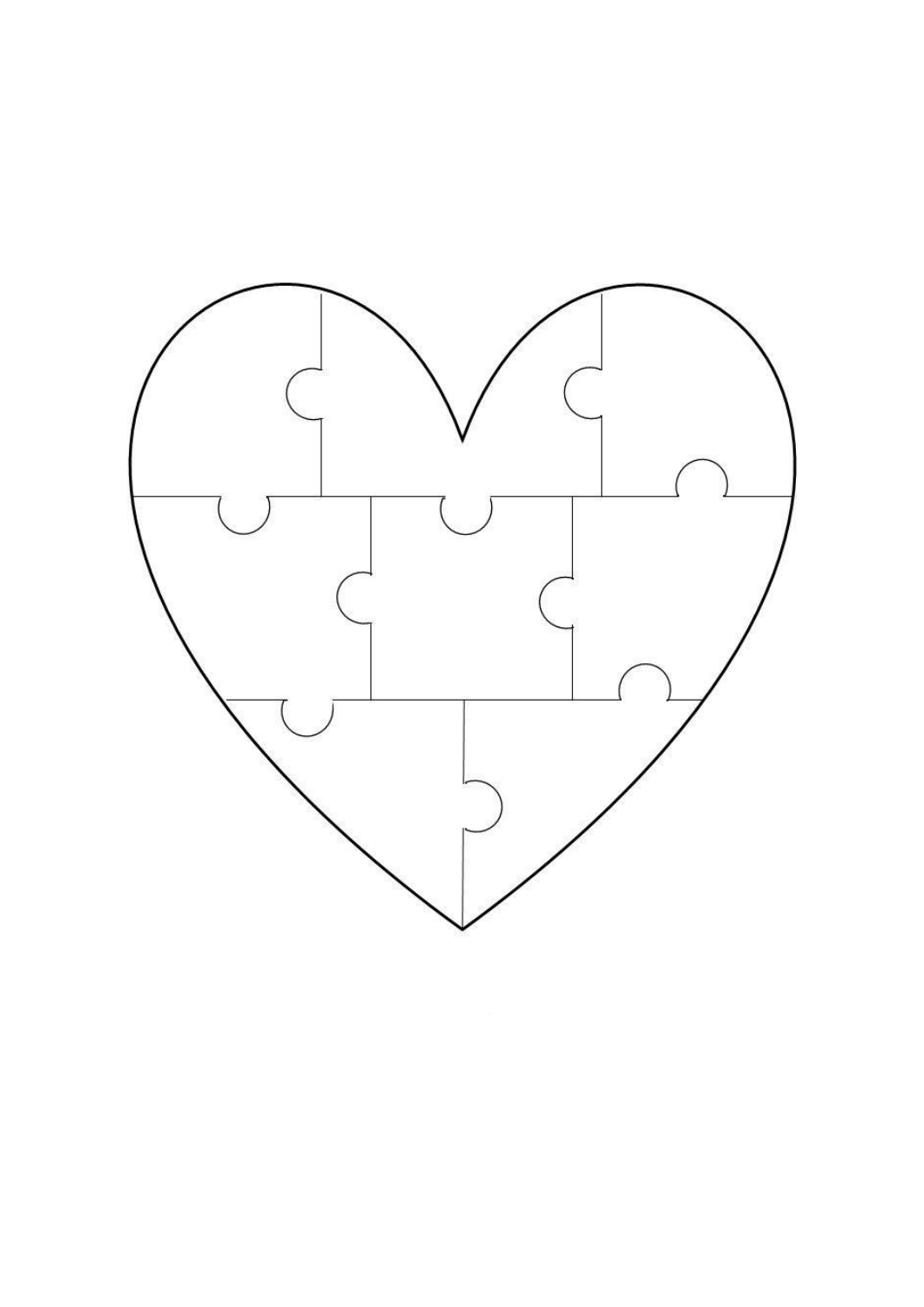